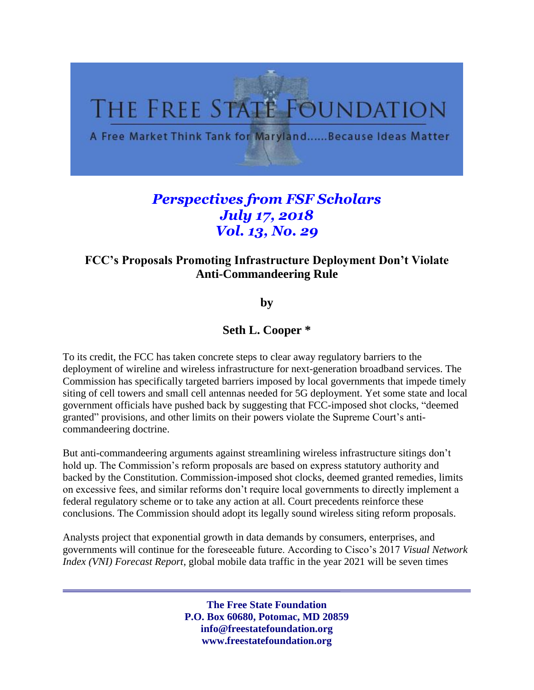

## *Perspectives from FSF Scholars July 17, 2018 Vol. 13, No. 29*

## **FCC's Proposals Promoting Infrastructure Deployment Don't Violate Anti-Commandeering Rule**

**by** 

## **Seth L. Cooper \***

To its credit, the FCC has taken concrete steps to clear away regulatory barriers to the deployment of wireline and wireless infrastructure for next-generation broadband services. The Commission has specifically targeted barriers imposed by local governments that impede timely siting of cell towers and small cell antennas needed for 5G deployment. Yet some state and local government officials have pushed back by suggesting that FCC-imposed shot clocks, "deemed granted" provisions, and other limits on their powers violate the Supreme Court's anticommandeering doctrine.

But anti-commandeering arguments against streamlining wireless infrastructure sitings don't hold up. The Commission's reform proposals are based on express statutory authority and backed by the Constitution. Commission-imposed shot clocks, deemed granted remedies, limits on excessive fees, and similar reforms don't require local governments to directly implement a federal regulatory scheme or to take any action at all. Court precedents reinforce these conclusions. The Commission should adopt its legally sound wireless siting reform proposals.

Analysts project that exponential growth in data demands by consumers, enterprises, and governments will continue for the foreseeable future. According to Cisco's 2017 *Visual Network Index (VNI) Forecast Report*, global mobile data traffic in the year 2021 will be seven times

> **The Free State Foundation P.O. Box 60680, Potomac, MD 20859 info@freestatefoundation.org www.freestatefoundation.org**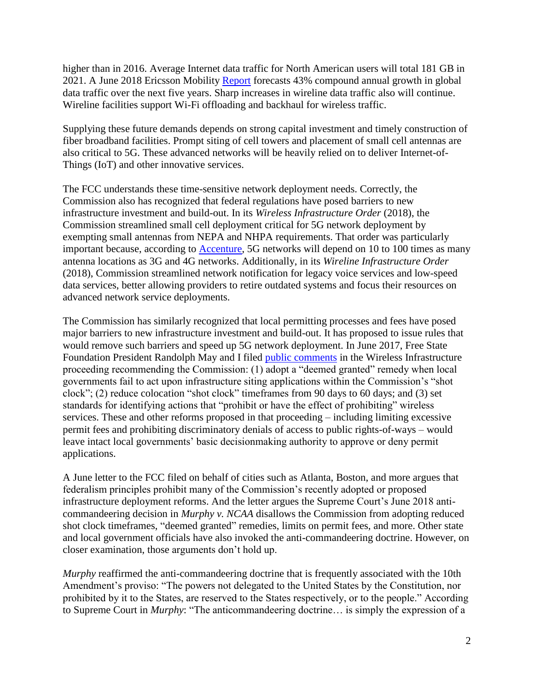higher than in 2016. Average Internet data traffic for North American users will total 181 GB in 2021. A June 2018 Ericsson Mobility [Report](https://www.ericsson.com/assets/local/mobility-report/documents/2018/ericsson-mobility-report-june-2018.pdf) forecasts 43% compound annual growth in global data traffic over the next five years. Sharp increases in wireline data traffic also will continue. Wireline facilities support Wi-Fi offloading and backhaul for wireless traffic.

Supplying these future demands depends on strong capital investment and timely construction of fiber broadband facilities. Prompt siting of cell towers and placement of small cell antennas are also critical to 5G. These advanced networks will be heavily relied on to deliver Internet-of-Things (IoT) and other innovative services.

The FCC understands these time-sensitive network deployment needs. Correctly, the Commission also has recognized that federal regulations have posed barriers to new infrastructure investment and build-out. In its *Wireless Infrastructure Order* (2018), the Commission streamlined small cell deployment critical for 5G network deployment by exempting small antennas from NEPA and NHPA requirements. That order was particularly important because, according to [Accenture,](https://newsroom.accenture.com/content/1101/files/Accenture_5G-Municipalities-Become-Smart-Cities.pdf) 5G networks will depend on 10 to 100 times as many antenna locations as 3G and 4G networks. Additionally, in its *Wireline Infrastructure Order* (2018), Commission streamlined network notification for legacy voice services and low-speed data services, better allowing providers to retire outdated systems and focus their resources on advanced network service deployments.

The Commission has similarly recognized that local permitting processes and fees have posed major barriers to new infrastructure investment and build-out. It has proposed to issue rules that would remove such barriers and speed up 5G network deployment. In June 2017, Free State Foundation President Randolph May and I filed [public comments](http://www.freestatefoundation.org/images/FSF_Comments_Re_Accelerating_Wireless_Broadband_Deployment_by_Removing_Barriers_to_Infrastructure_Investment_061517.pdf) in the Wireless Infrastructure proceeding recommending the Commission: (1) adopt a "deemed granted" remedy when local governments fail to act upon infrastructure siting applications within the Commission's "shot clock"; (2) reduce colocation "shot clock" timeframes from 90 days to 60 days; and (3) set standards for identifying actions that "prohibit or have the effect of prohibiting" wireless services. These and other reforms proposed in that proceeding – including limiting excessive permit fees and prohibiting discriminatory denials of access to public rights-of-ways – would leave intact local governments' basic decisionmaking authority to approve or deny permit applications.

A June letter to the FCC filed on behalf of cities such as Atlanta, Boston, and more argues that federalism principles prohibit many of the Commission's recently adopted or proposed infrastructure deployment reforms. And the letter argues the Supreme Court's June 2018 anticommandeering decision in *Murphy v. NCAA* disallows the Commission from adopting reduced shot clock timeframes, "deemed granted" remedies, limits on permit fees, and more. Other state and local government officials have also invoked the anti-commandeering doctrine. However, on closer examination, those arguments don't hold up.

*Murphy* reaffirmed the anti-commandeering doctrine that is frequently associated with the 10th Amendment's proviso: "The powers not delegated to the United States by the Constitution, nor prohibited by it to the States, are reserved to the States respectively, or to the people." According to Supreme Court in *Murphy*: "The anticommandeering doctrine… is simply the expression of a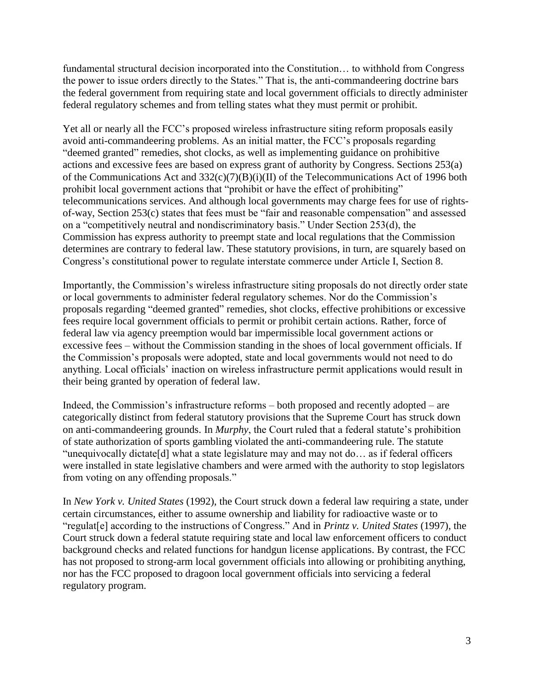fundamental structural decision incorporated into the Constitution... to withhold from Congress the power to issue orders directly to the States." That is, the anti-commandeering doctrine bars the federal government from requiring state and local government officials to directly administer federal regulatory schemes and from telling states what they must permit or prohibit.

Yet all or nearly all the FCC's proposed wireless infrastructure siting reform proposals easily avoid anti-commandeering problems. As an initial matter, the FCC's proposals regarding "deemed granted" remedies, shot clocks, as well as implementing guidance on prohibitive actions and excessive fees are based on express grant of authority by Congress. Sections 253(a) of the Communications Act and 332(c)(7)(B)(i)(II) of the Telecommunications Act of 1996 both prohibit local government actions that "prohibit or have the effect of prohibiting" telecommunications services. And although local governments may charge fees for use of rightsof-way, Section 253(c) states that fees must be "fair and reasonable compensation" and assessed on a "competitively neutral and nondiscriminatory basis." Under Section 253(d), the Commission has express authority to preempt state and local regulations that the Commission determines are contrary to federal law. These statutory provisions, in turn, are squarely based on Congress's constitutional power to regulate interstate commerce under Article I, Section 8.

Importantly, the Commission's wireless infrastructure siting proposals do not directly order state or local governments to administer federal regulatory schemes. Nor do the Commission's proposals regarding "deemed granted" remedies, shot clocks, effective prohibitions or excessive fees require local government officials to permit or prohibit certain actions. Rather, force of federal law via agency preemption would bar impermissible local government actions or excessive fees – without the Commission standing in the shoes of local government officials. If the Commission's proposals were adopted, state and local governments would not need to do anything. Local officials' inaction on wireless infrastructure permit applications would result in their being granted by operation of federal law.

Indeed, the Commission's infrastructure reforms – both proposed and recently adopted – are categorically distinct from federal statutory provisions that the Supreme Court has struck down on anti-commandeering grounds. In *Murphy*, the Court ruled that a federal statute's prohibition of state authorization of sports gambling violated the anti-commandeering rule. The statute "unequivocally dictate[d] what a state legislature may and may not do… as if federal officers were installed in state legislative chambers and were armed with the authority to stop legislators from voting on any offending proposals."

In *New York v. United States* (1992), the Court struck down a federal law requiring a state, under certain circumstances, either to assume ownership and liability for radioactive waste or to "regulat[e] according to the instructions of Congress." And in *Printz v. United States* (1997), the Court struck down a federal statute requiring state and local law enforcement officers to conduct background checks and related functions for handgun license applications. By contrast, the FCC has not proposed to strong-arm local government officials into allowing or prohibiting anything, nor has the FCC proposed to dragoon local government officials into servicing a federal regulatory program.